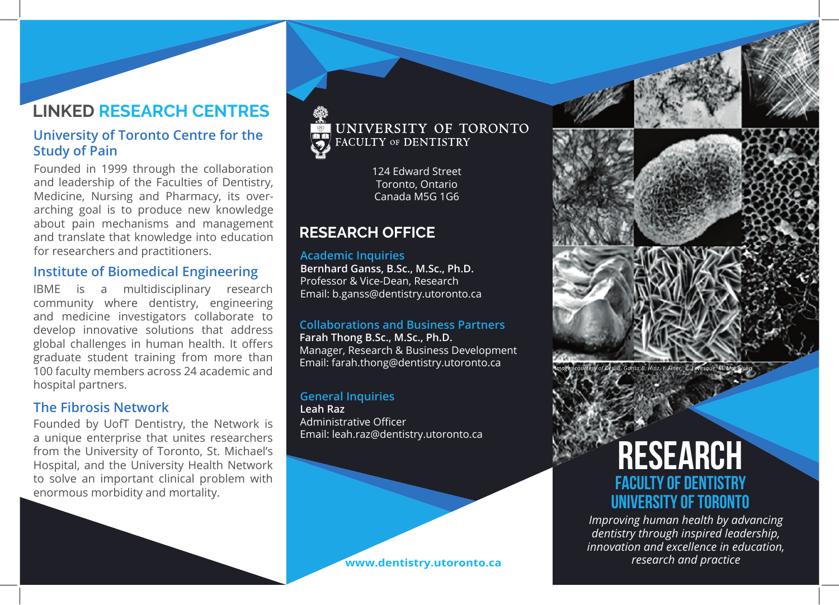## **LINKED RESEARCH CENTRES**

### **University of Toronto Centre for the Study of Pain**

Founded in 1999 through the collaboration and leadership of the Faculties of Dentistry, Medicine, Nursing and Pharmacy, its overarching goal is to produce new knowledge about pain mechanisms and management and translate that knowledge into education for researchers and practitioners.

### **Institute of Biomedical Engineering**

IBME is a multidisciplinary research community where dentistry, engineering and medicine investigators collaborate to develop innovative solutions that address global challenges in human health. It offers graduate student training from more than 100 faculty members across 24 academic and hospital partners.

### **The Fibrosis Network**

Founded by UofT Dentistry, the Network is a unique enterprise that unites researchers from the University of Toronto, St. Michael's Hospital, and the University Health Network to solve an important clinical problem with enormous morbidity and mortality.



124 Edward Street Toronto, Ontario Canada M5G 1G6

## **RESEARCH OFFICE**

#### **Academic Inquiries**

**Bernhard Ganss, B.Sc., M.Sc., Ph.D.** Professor & Vice-Dean, Research Email: b.ganss@dentistry.utoronto.ca

#### **Collaborations and Business Partners**

**Farah Thong B.Sc., M.Sc., Ph.D.** Manager, Research & Business Development Email: farah.thong@dentistry.utoronto.ca

#### **General Inquiries Leah Raz** Administrative Officer Email: leah.raz@dentistry.utoronto.ca

#### **www.dentistry.utoronto.ca**



# **FACULTY OF DENTISTRY RESEARCH UNIVERSITY OF TORONTO**

*Improving human health by advancing dentistry through inspired leadership, innovation and excellence in education, research and practice*